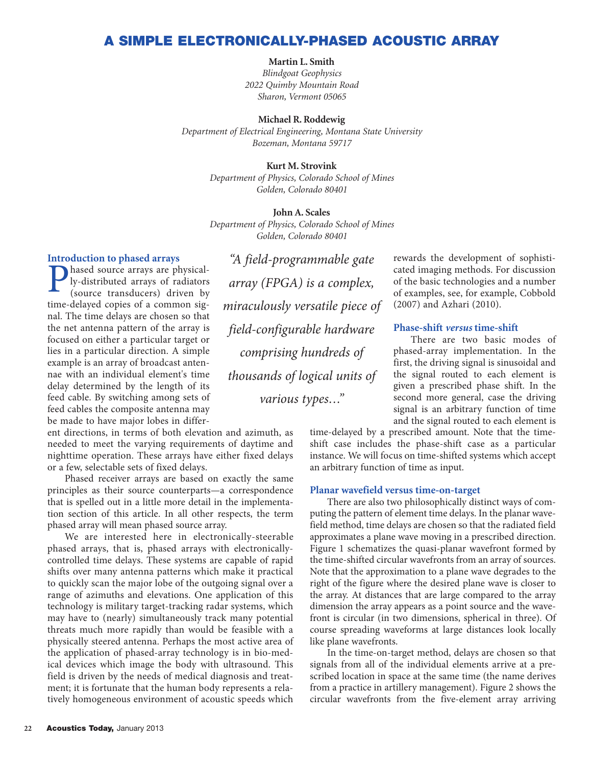# **A SIMPLE ELECTRONICALLY-PHASED ACOUSTIC ARRAY**

**Martin L. Smith** *Blindgoat Geophysics 2022 Quimby Mountain Road Sharon, Vermont 05065*

**Michael R. Roddewig**

*Department of Electrical Engineering, Montana State University Bozeman, Montana 59717*

> **Kurt M. Strovink** *Department of Physics, Colorado School of Mines Golden, Colorado 80401*

> **John A. Scales** *Department of Physics, Colorado School of Mines Golden, Colorado 80401*

#### **Introduction to phased arrays**

Phased source arrays are physically-distributed arrays of radiators (source transducers) driven by time-delayed copies of a common signal. The time delays are chosen so that the net antenna pattern of the array is focused on either a particular target or lies in a particular direction. A simple example is an array of broadcast antennae with an individual element's time delay determined by the length of its feed cable. By switching among sets of feed cables the composite antenna may be made to have major lobes in differ-

ent directions, in terms of both elevation and azimuth, as needed to meet the varying requirements of daytime and nighttime operation. These arrays have either fixed delays or a few, selectable sets of fixed delays.

Phased receiver arrays are based on exactly the same principles as their source counterparts—a correspondence that is spelled out in a little more detail in the implementation section of this article. In all other respects, the term phased array will mean phased source array.

We are interested here in electronically-steerable phased arrays, that is, phased arrays with electronicallycontrolled time delays. These systems are capable of rapid shifts over many antenna patterns which make it practical to quickly scan the major lobe of the outgoing signal over a range of azimuths and elevations. One application of this technology is military target-tracking radar systems, which may have to (nearly) simultaneously track many potential threats much more rapidly than would be feasible with a physically steered antenna. Perhaps the most active area of the application of phased-array technology is in bio-medical devices which image the body with ultrasound. This field is driven by the needs of medical diagnosis and treatment; it is fortunate that the human body represents a relatively homogeneous environment of acoustic speeds which

"A field-programmable gate array (FPGA) is a complex, miraculously versatile piece of field-configurable hardware comprising hundreds of thousands of logical units of various types…"

rewards the development of sophisticated imaging methods. For discussion of the basic technologies and a number of examples, see, for example, Cobbold (2007) and Azhari (2010).

# **Phase-shift** *versus* **time-shift**

There are two basic modes of phased-array implementation. In the first, the driving signal is sinusoidal and the signal routed to each element is given a prescribed phase shift. In the second more general, case the driving signal is an arbitrary function of time and the signal routed to each element is

time-delayed by a prescribed amount. Note that the timeshift case includes the phase-shift case as a particular instance. We will focus on time-shifted systems which accept an arbitrary function of time as input.

#### **Planar wavefield versus time-on-target**

There are also two philosophically distinct ways of computing the pattern of element time delays. In the planar wavefield method, time delays are chosen so that the radiated field approximates a plane wave moving in a prescribed direction. Figure 1 schematizes the quasi-planar wavefront formed by the time-shifted circular wavefronts from an array of sources. Note that the approximation to a plane wave degrades to the right of the figure where the desired plane wave is closer to the array. At distances that are large compared to the array dimension the array appears as a point source and the wavefront is circular (in two dimensions, spherical in three). Of course spreading waveforms at large distances look locally like plane wavefronts.

In the time-on-target method, delays are chosen so that signals from all of the individual elements arrive at a prescribed location in space at the same time (the name derives from a practice in artillery management). Figure 2 shows the circular wavefronts from the five-element array arriving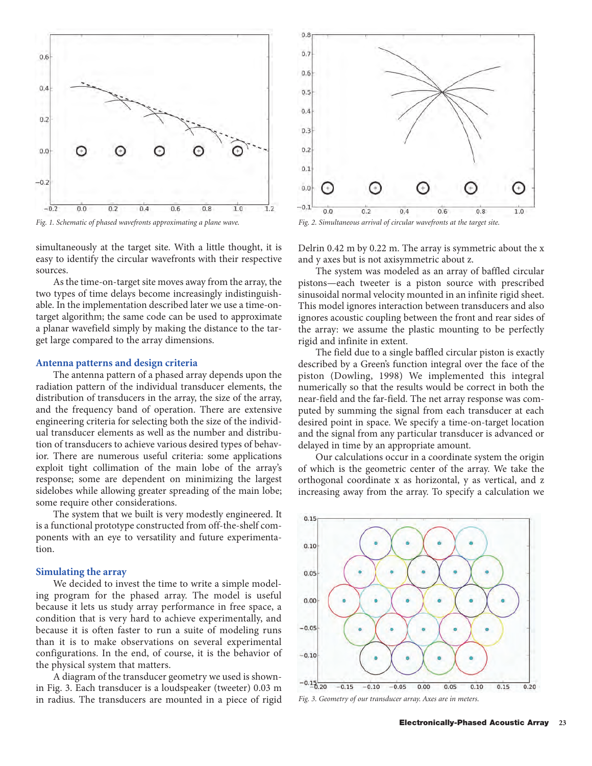

simultaneously at the target site. With a little thought, it is easy to identify the circular wavefronts with their respective sources.

As the time-on-target site moves away from the array, the two types of time delays become increasingly indistinguishable. In the implementation described later we use a time-ontarget algorithm; the same code can be used to approximate a planar wavefield simply by making the distance to the target large compared to the array dimensions.

#### **Antenna patterns and design criteria**

The antenna pattern of a phased array depends upon the radiation pattern of the individual transducer elements, the distribution of transducers in the array, the size of the array, and the frequency band of operation. There are extensive engineering criteria for selecting both the size of the individual transducer elements as well as the number and distribution of transducers to achieve various desired types of behavior. There are numerous useful criteria: some applications exploit tight collimation of the main lobe of the array's response; some are dependent on minimizing the largest sidelobes while allowing greater spreading of the main lobe; some require other considerations.

The system that we built is very modestly engineered. It is a functional prototype constructed from off-the-shelf components with an eye to versatility and future experimentation.

#### **Simulating the array**

We decided to invest the time to write a simple modeling program for the phased array. The model is useful because it lets us study array performance in free space, a condition that is very hard to achieve experimentally, and because it is often faster to run a suite of modeling runs than it is to make observations on several experimental configurations. In the end, of course, it is the behavior of the physical system that matters.

A diagram of the transducer geometry we used is shownin Fig. 3. Each transducer is a loudspeaker (tweeter) 0.03 m in radius. The transducers are mounted in a piece of rigid



*Fig. 1. Schematic of phased wavefronts approximating a plane wave. Fig. 2. Simultaneous arrival of circular wavefronts at the target site.*

Delrin 0.42 m by 0.22 m. The array is symmetric about the x and y axes but is not axisymmetric about z.

The system was modeled as an array of baffled circular pistons—each tweeter is a piston source with prescribed sinusoidal normal velocity mounted in an infinite rigid sheet. This model ignores interaction between transducers and also ignores acoustic coupling between the front and rear sides of the array: we assume the plastic mounting to be perfectly rigid and infinite in extent.

The field due to a single baffled circular piston is exactly described by a Green's function integral over the face of the piston (Dowling, 1998) We implemented this integral numerically so that the results would be correct in both the near-field and the far-field. The net array response was computed by summing the signal from each transducer at each desired point in space. We specify a time-on-target location and the signal from any particular transducer is advanced or delayed in time by an appropriate amount.

Our calculations occur in a coordinate system the origin of which is the geometric center of the array. We take the orthogonal coordinate x as horizontal, y as vertical, and z increasing away from the array. To specify a calculation we

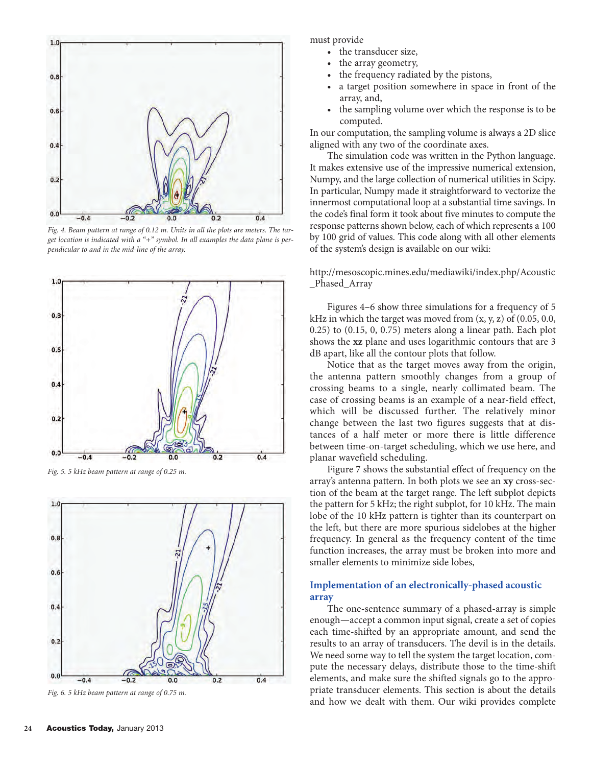

*Fig. 4. Beam pattern at range of 0.12 m. Units in all the plots are meters. The target location is indicated with a "+" symbol. In all examples the data plane is perpendicular to and in the mid-line of the array.*



*Fig. 5. 5 kHz beam pattern at range of 0.25 m.*



*Fig. 6. 5 kHz beam pattern at range of 0.75 m.*

must provide

- the transducer size,
- the array geometry,
- the frequency radiated by the pistons,
- a target position somewhere in space in front of the array, and,
- the sampling volume over which the response is to be computed.

In our computation, the sampling volume is always a 2D slice aligned with any two of the coordinate axes.

The simulation code was written in the Python language. It makes extensive use of the impressive numerical extension, Numpy, and the large collection of numerical utilities in Scipy. In particular, Numpy made it straightforward to vectorize the innermost computational loop at a substantial time savings. In the code's final form it took about five minutes to compute the response patterns shown below, each of which represents a 100 by 100 grid of values. This code along with all other elements of the system's design is available on our wiki:

http://mesoscopic.mines.edu/mediawiki/index.php/Acoustic \_Phased\_Array

Figures 4–6 show three simulations for a frequency of 5 kHz in which the target was moved from  $(x, y, z)$  of  $(0.05, 0.0, z)$ 0.25) to (0.15, 0, 0.75) meters along a linear path. Each plot shows the **xz** plane and uses logarithmic contours that are 3 dB apart, like all the contour plots that follow.

Notice that as the target moves away from the origin, the antenna pattern smoothly changes from a group of crossing beams to a single, nearly collimated beam. The case of crossing beams is an example of a near-field effect, which will be discussed further. The relatively minor change between the last two figures suggests that at distances of a half meter or more there is little difference between time-on-target scheduling, which we use here, and planar wavefield scheduling.

Figure 7 shows the substantial effect of frequency on the array's antenna pattern. In both plots we see an **xy** cross-section of the beam at the target range. The left subplot depicts the pattern for 5 kHz; the right subplot, for 10 kHz. The main lobe of the 10 kHz pattern is tighter than its counterpart on the left, but there are more spurious sidelobes at the higher frequency. In general as the frequency content of the time function increases, the array must be broken into more and smaller elements to minimize side lobes,

# **Implementation of an electronically-phased acoustic array**

The one-sentence summary of a phased-array is simple enough—accept a common input signal, create a set of copies each time-shifted by an appropriate amount, and send the results to an array of transducers. The devil is in the details. We need some way to tell the system the target location, compute the necessary delays, distribute those to the time-shift elements, and make sure the shifted signals go to the appropriate transducer elements. This section is about the details and how we dealt with them. Our wiki provides complete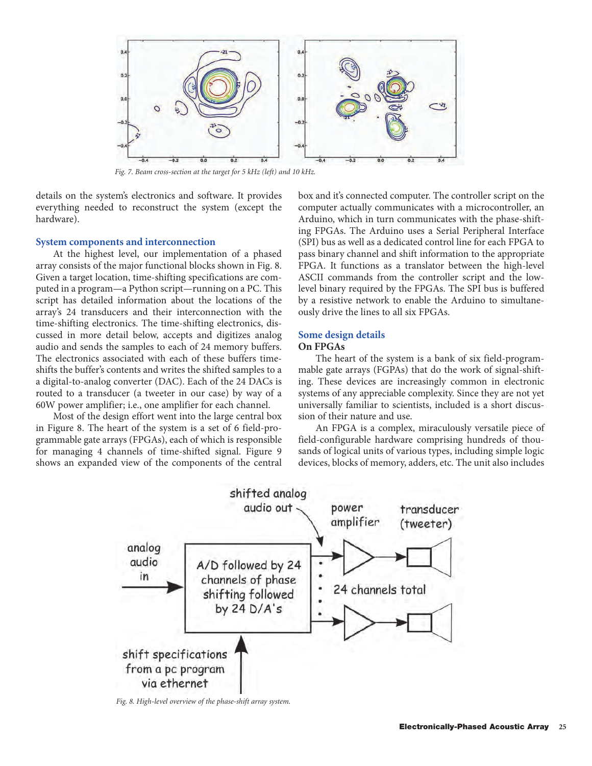

*Fig. 7. Beam cross-section at the target for 5 kHz (left) and 10 kHz.*

details on the system's electronics and software. It provides everything needed to reconstruct the system (except the hardware).

#### **System components and interconnection**

At the highest level, our implementation of a phased array consists of the major functional blocks shown in Fig. 8. Given a target location, time-shifting specifications are computed in a program—a Python script—running on a PC. This script has detailed information about the locations of the array's 24 transducers and their interconnection with the time-shifting electronics. The time-shifting electronics, discussed in more detail below, accepts and digitizes analog audio and sends the samples to each of 24 memory buffers. The electronics associated with each of these buffers timeshifts the buffer's contents and writes the shifted samples to a a digital-to-analog converter (DAC). Each of the 24 DACs is routed to a transducer (a tweeter in our case) by way of a 60W power amplifier; i.e., one amplifier for each channel.

Most of the design effort went into the large central box in Figure 8. The heart of the system is a set of 6 field-programmable gate arrays (FPGAs), each of which is responsible for managing 4 channels of time-shifted signal. Figure 9 shows an expanded view of the components of the central

box and it's connected computer. The controller script on the computer actually communicates with a microcontroller, an Arduino, which in turn communicates with the phase-shifting FPGAs. The Arduino uses a Serial Peripheral Interface (SPI) bus as well as a dedicated control line for each FPGA to pass binary channel and shift information to the appropriate FPGA. It functions as a translator between the high-level ASCII commands from the controller script and the lowlevel binary required by the FPGAs. The SPI bus is buffered by a resistive network to enable the Arduino to simultaneously drive the lines to all six FPGAs.

#### **Some design details On FPGAs**

The heart of the system is a bank of six field-programmable gate arrays (FGPAs) that do the work of signal-shifting. These devices are increasingly common in electronic systems of any appreciable complexity. Since they are not yet universally familiar to scientists, included is a short discussion of their nature and use.

An FPGA is a complex, miraculously versatile piece of field-configurable hardware comprising hundreds of thousands of logical units of various types, including simple logic devices, blocks of memory, adders, etc. The unit also includes



*Fig. 8. High-level overview of the phase-shift array system.*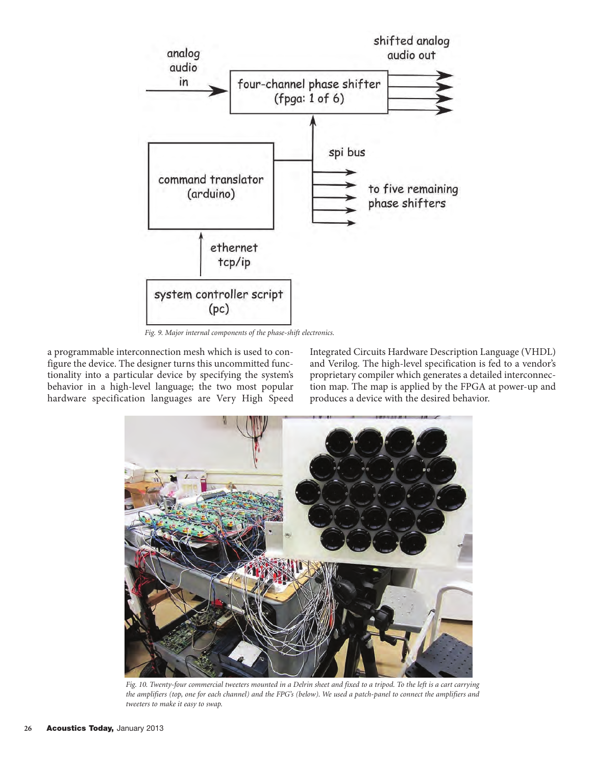

*Fig. 9. Major internal components of the phase-shift electronics.*

a programmable interconnection mesh which is used to configure the device. The designer turns this uncommitted functionality into a particular device by specifying the system's behavior in a high-level language; the two most popular hardware specification languages are Very High Speed Integrated Circuits Hardware Description Language (VHDL) and Verilog. The high-level specification is fed to a vendor's proprietary compiler which generates a detailed interconnection map. The map is applied by the FPGA at power-up and produces a device with the desired behavior.



*Fig. 10. Twenty-four commercial tweeters mounted in a Delrin sheet and fixed to a tripod. To the left is a cart carrying the amplifiers (top, one for each channel) and the FPG's (below). We used a patch-panel to connect the amplifiers and tweeters to make it easy to swap.*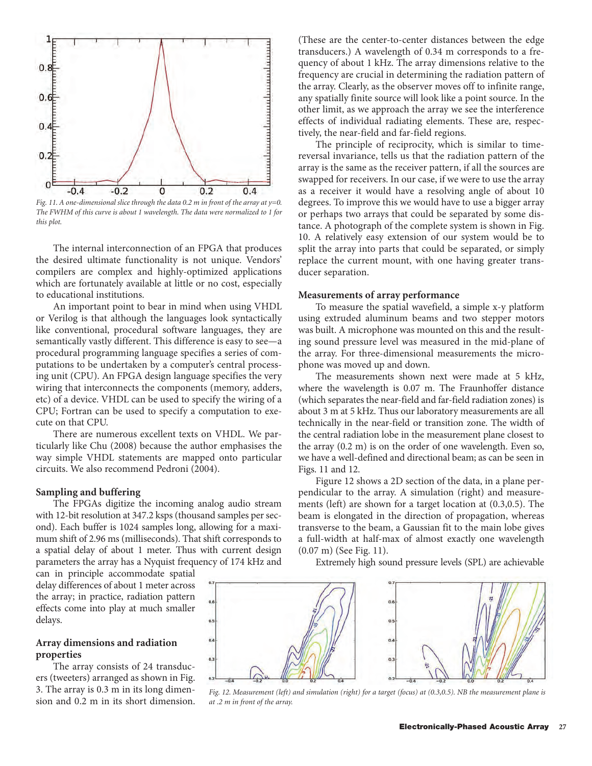

*Fig. 11. A one-dimensional slice through the data 0.2 m in front of the array at y=0. The FWHM of this curve is about 1 wavelength. The data were normalized to 1 for this plot.*

The internal interconnection of an FPGA that produces the desired ultimate functionality is not unique. Vendors' compilers are complex and highly-optimized applications which are fortunately available at little or no cost, especially to educational institutions.

An important point to bear in mind when using VHDL or Verilog is that although the languages look syntactically like conventional, procedural software languages, they are semantically vastly different. This difference is easy to see—a procedural programming language specifies a series of computations to be undertaken by a computer's central processing unit (CPU). An FPGA design language specifies the very wiring that interconnects the components (memory, adders, etc) of a device. VHDL can be used to specify the wiring of a CPU; Fortran can be used to specify a computation to execute on that CPU.

There are numerous excellent texts on VHDL. We particularly like Chu (2008) because the author emphasises the way simple VHDL statements are mapped onto particular circuits. We also recommend Pedroni (2004).

### **Sampling and buffering**

The FPGAs digitize the incoming analog audio stream with 12-bit resolution at 347.2 ksps (thousand samples per second). Each buffer is 1024 samples long, allowing for a maximum shift of 2.96 ms (milliseconds). That shift corresponds to a spatial delay of about 1 meter. Thus with current design parameters the array has a Nyquist frequency of 174 kHz and

can in principle accommodate spatial delay differences of about 1 meter across the array; in practice, radiation pattern effects come into play at much smaller delays.

# **Array dimensions and radiation properties**

The array consists of 24 transducers (tweeters) arranged as shown in Fig. 3. The array is 0.3 m in its long dimension and 0.2 m in its short dimension. (These are the center-to-center distances between the edge transducers.) A wavelength of 0.34 m corresponds to a frequency of about 1 kHz. The array dimensions relative to the frequency are crucial in determining the radiation pattern of the array. Clearly, as the observer moves off to infinite range, any spatially finite source will look like a point source. In the other limit, as we approach the array we see the interference effects of individual radiating elements. These are, respectively, the near-field and far-field regions.

The principle of reciprocity, which is similar to timereversal invariance, tells us that the radiation pattern of the array is the same as the receiver pattern, if all the sources are swapped for receivers. In our case, if we were to use the array as a receiver it would have a resolving angle of about 10 degrees. To improve this we would have to use a bigger array or perhaps two arrays that could be separated by some distance. A photograph of the complete system is shown in Fig. 10. A relatively easy extension of our system would be to split the array into parts that could be separated, or simply replace the current mount, with one having greater transducer separation.

#### **Measurements of array performance**

To measure the spatial wavefield, a simple x-y platform using extruded aluminum beams and two stepper motors was built. A microphone was mounted on this and the resulting sound pressure level was measured in the mid-plane of the array. For three-dimensional measurements the microphone was moved up and down.

The measurements shown next were made at 5 kHz, where the wavelength is 0.07 m. The Fraunhoffer distance (which separates the near-field and far-field radiation zones) is about 3 m at 5 kHz. Thus our laboratory measurements are all technically in the near-field or transition zone. The width of the central radiation lobe in the measurement plane closest to the array (0.2 m) is on the order of one wavelength. Even so, we have a well-defined and directional beam; as can be seen in Figs. 11 and 12.

Figure 12 shows a 2D section of the data, in a plane perpendicular to the array. A simulation (right) and measurements (left) are shown for a target location at (0.3,0.5). The beam is elongated in the direction of propagation, whereas transverse to the beam, a Gaussian fit to the main lobe gives a full-width at half-max of almost exactly one wavelength (0.07 m) (See Fig. 11).

Extremely high sound pressure levels (SPL) are achievable



*Fig. 12. Measurement (left) and simulation (right) for a target (focus) at (0.3,0.5). NB the measurement plane is at .2 m in front of the array.*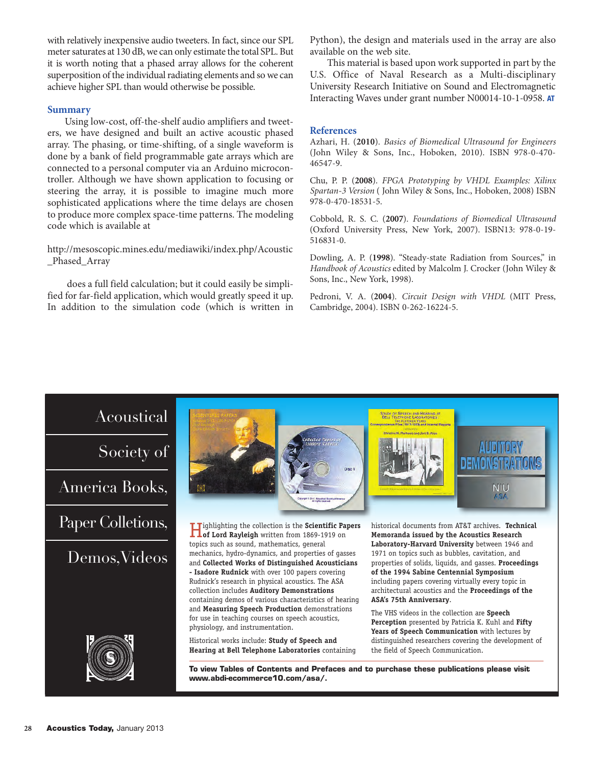with relatively inexpensive audio tweeters. In fact, since our SPL meter saturates at 130 dB, we can only estimate the total SPL. But it is worth noting that a phased array allows for the coherent superposition of the individual radiating elements and so we can achieve higher SPL than would otherwise be possible.

### **Summary**

Using low-cost, off-the-shelf audio amplifiers and tweeters, we have designed and built an active acoustic phased array. The phasing, or time-shifting, of a single waveform is done by a bank of field programmable gate arrays which are connected to a personal computer via an Arduino microcontroller. Although we have shown application to focusing or steering the array, it is possible to imagine much more sophisticated applications where the time delays are chosen to produce more complex space-time patterns. The modeling code which is available at

http://mesoscopic.mines.edu/mediawiki/index.php/Acoustic \_Phased\_Array

does a full field calculation; but it could easily be simplified for far-field application, which would greatly speed it up. In addition to the simulation code (which is written in

Python), the design and materials used in the array are also available on the web site.

This material is based upon work supported in part by the U.S. Office of Naval Research as a Multi-disciplinary University Research Initiative on Sound and Electromagnetic Interacting Waves under grant number N00014-10-1-0958. **AT**

# **References**

Azhari, H. (**2010**). *Basics of Biomedical Ultrasound for Engineers* (John Wiley & Sons, Inc., Hoboken, 2010). ISBN 978-0-470- 46547-9.

Chu, P. P. (**2008**). *FPGA Prototyping by VHDL Examples: Xilinx Spartan-3 Version* ( John Wiley & Sons, Inc., Hoboken, 2008) ISBN 978-0-470-18531-5.

Cobbold, R. S. C. (**2007**). *Foundations of Biomedical Ultrasound* (Oxford University Press, New York, 2007). ISBN13: 978-0-19- 516831-0.

Dowling, A. P. (**1998**). "Steady-state Radiation from Sources," in *Handbook of Acoustics* edited by Malcolm J. Crocker (John Wiley & Sons, Inc., New York, 1998).

Pedroni, V. A. (**2004**). *Circuit Design with VHDL* (MIT Press, Cambridge, 2004). ISBN 0-262-16224-5.



topics such as sound, mathematics, general mechanics, hydro-dynamics, and properties of gasses and **Collected Works of Distinguished Acousticians - Isadore Rudnick** with over 100 papers covering Rudnick's research in physical acoustics. The ASA collection includes **Auditory Demonstrations** containing demos of various characteristics of hearing and **Measuring Speech Production** demonstrations for use in teaching courses on speech acoustics, physiology, and instrumentation.

Historical works include: **Study of Speech and Hearing at Bell Telephone Laboratories** containing **Memoranda issued by the Acoustics Research Laboratory-Harvard University** between 1946 and 1971 on topics such as bubbles, cavitation, and properties of solids, liquids, and gasses. **Proceedings of the 1994 Sabine Centennial Symposium** including papers covering virtually every topic in architectural acoustics and the **Proceedings of the ASA's 75th Anniversary**.

The VHS videos in the collection are **Speech Perception** presented by Patricia K. Kuhl and **Fifty Years of Speech Communication** with lectures by distinguished researchers covering the development of the field of Speech Communication.

**To view Tables of Contents and Prefaces and to purchase these publications please visit www.abdi-ecommerce10.com/asa/.**



Demos,Videos